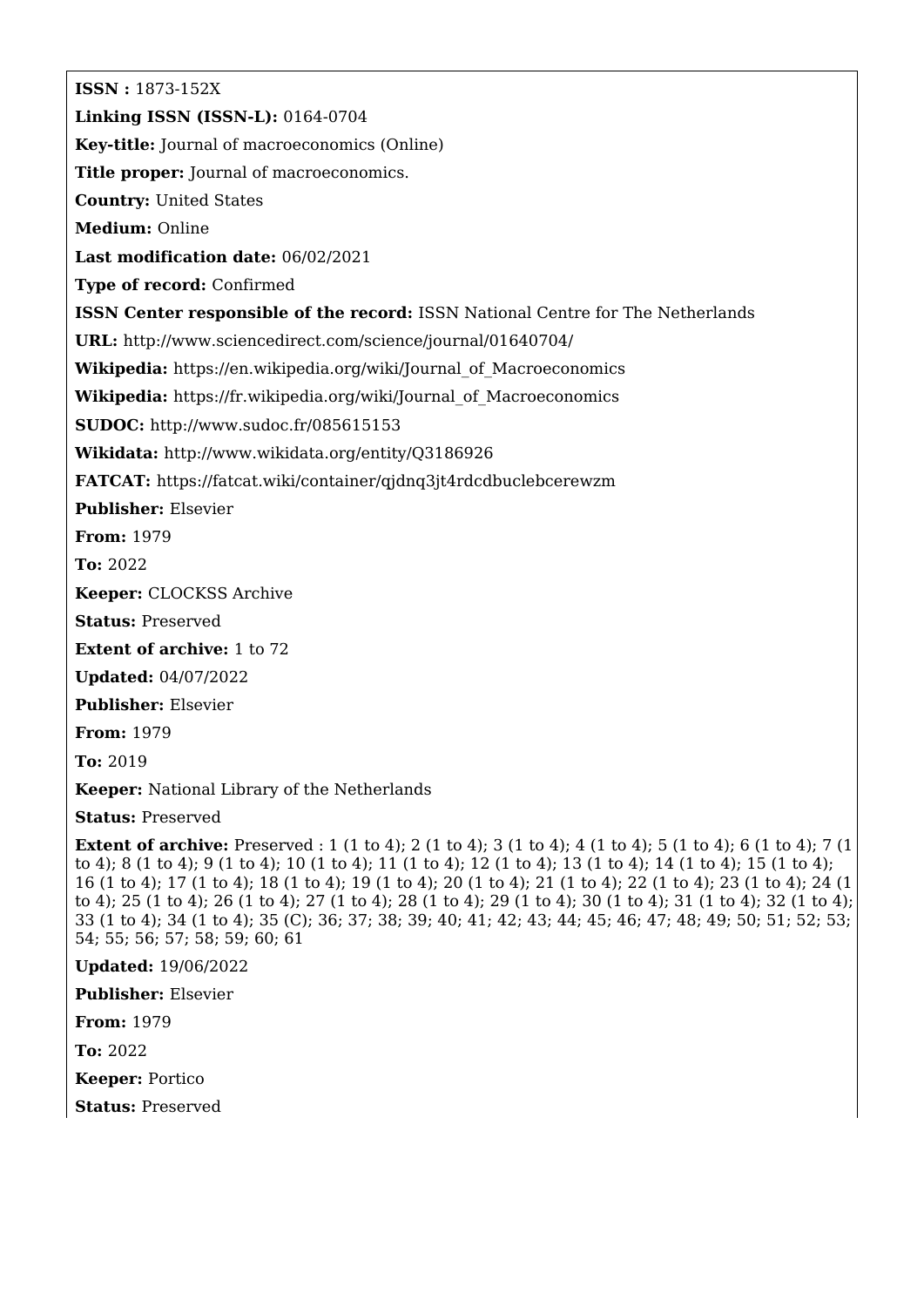**ISSN :** 1873-152X **Linking ISSN (ISSN-L):** 0164-0704 **Key-title:** Journal of macroeconomics (Online) **Title proper:** Journal of macroeconomics. **Country:** United States **Medium:** Online **Last modification date:** 06/02/2021 **Type of record:** Confirmed **ISSN Center responsible of the record:** ISSN National Centre for The Netherlands **URL:** <http://www.sciencedirect.com/science/journal/01640704/> **Wikipedia:** [https://en.wikipedia.org/wiki/Journal\\_of\\_Macroeconomics](https://en.wikipedia.org/wiki/Journal_of_Macroeconomics) **Wikipedia:** [https://fr.wikipedia.org/wiki/Journal\\_of\\_Macroeconomics](https://fr.wikipedia.org/wiki/Journal_of_Macroeconomics) **SUDOC:** <http://www.sudoc.fr/085615153> **Wikidata:** <http://www.wikidata.org/entity/Q3186926> **FATCAT:** <https://fatcat.wiki/container/qjdnq3jt4rdcdbuclebcerewzm> **Publisher:** Elsevier **From:** 1979 **To:** 2022 **Keeper:** CLOCKSS Archive **Status:** Preserved **Extent of archive:** 1 to 72 **Updated:** 04/07/2022 **Publisher:** Elsevier **From:** 1979 **To:** 2019 **Keeper:** National Library of the Netherlands **Status:** Preserved **Extent of archive:** Preserved : 1 (1 to 4); 2 (1 to 4); 3 (1 to 4); 4 (1 to 4); 5 (1 to 4); 6 (1 to 4); 7 (1 to 4); 8 (1 to 4); 9 (1 to 4); 10 (1 to 4); 11 (1 to 4); 12 (1 to 4); 13 (1 to 4); 14 (1 to 4); 15 (1 to 4); 16 (1 to 4); 17 (1 to 4); 18 (1 to 4); 19 (1 to 4); 20 (1 to 4); 21 (1 to 4); 22 (1 to 4); 23 (1 to 4); 24 (1 to 4); 25 (1 to 4); 26 (1 to 4); 27 (1 to 4); 28 (1 to 4); 29 (1 to 4); 30 (1 to 4); 31 (1 to 4); 32 (1 to 4); 33 (1 to 4); 34 (1 to 4); 35 (C); 36; 37; 38; 39; 40; 41; 42; 43; 44; 45; 46; 47; 48; 49; 50; 51; 52; 53; 54; 55; 56; 57; 58; 59; 60; 61

**Updated:** 19/06/2022

**Publisher:** Elsevier

**From:** 1979

**To:** 2022

**Keeper:** Portico

**Status:** Preserved